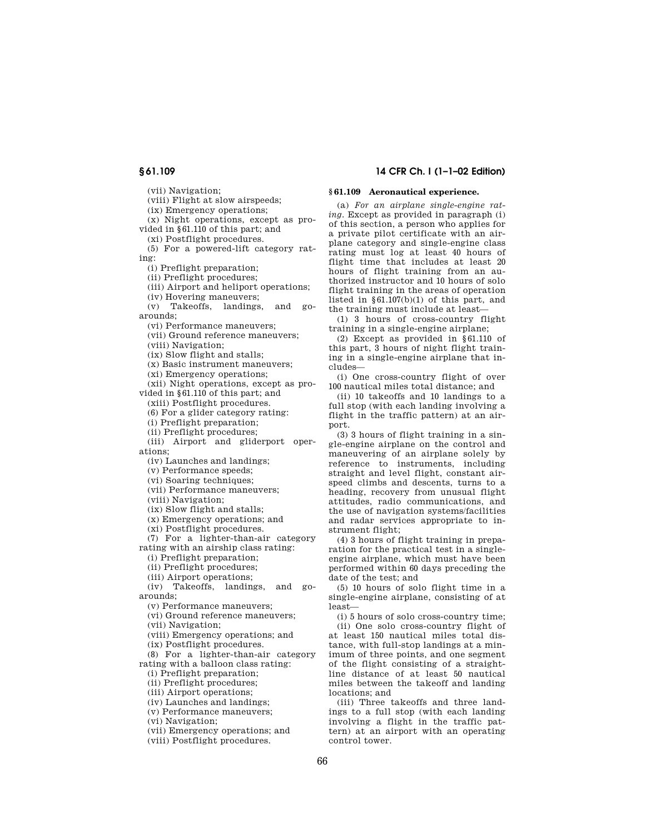(vii) Navigation;

(viii) Flight at slow airspeeds;

(ix) Emergency operations;

(x) Night operations, except as pro-

vided in § 61.110 of this part; and (xi) Postflight procedures.

(5) For a powered-lift category rating:

(i) Preflight preparation;

(ii) Preflight procedures;

(iii) Airport and heliport operations;

(iv) Hovering maneuvers;

(v) Takeoffs, landings, and goarounds;

(vi) Performance maneuvers;

(vii) Ground reference maneuvers;

(viii) Navigation;

(ix) Slow flight and stalls;

(x) Basic instrument maneuvers;

(xi) Emergency operations;

(xii) Night operations, except as provided in § 61.110 of this part; and

(xiii) Postflight procedures.

(6) For a glider category rating:

(i) Preflight preparation;

(ii) Preflight procedures;

(iii) Airport and gliderport operations;

(iv) Launches and landings;

(v) Performance speeds;

(vi) Soaring techniques;

(vii) Performance maneuvers;

(viii) Navigation;

(ix) Slow flight and stalls;

(x) Emergency operations; and

(xi) Postflight procedures.

(7) For a lighter-than-air category rating with an airship class rating:

(i) Preflight preparation;

(ii) Preflight procedures;

(iii) Airport operations;

(iv) Takeoffs, landings, and goarounds;

(v) Performance maneuvers;

(vi) Ground reference maneuvers;

(vii) Navigation;

(viii) Emergency operations; and

(ix) Postflight procedures.

(8) For a lighter-than-air category rating with a balloon class rating:

(i) Preflight preparation;

(ii) Preflight procedures;

(iii) Airport operations;

(iv) Launches and landings;

(v) Performance maneuvers;

(vi) Navigation;

(vii) Emergency operations; and

(viii) Postflight procedures.

# **§ 61.109 14 CFR Ch. I (1–1–02 Edition)**

## **§ 61.109 Aeronautical experience.**

(a) *For an airplane single-engine rating.* Except as provided in paragraph (i) of this section, a person who applies for a private pilot certificate with an airplane category and single-engine class rating must log at least 40 hours of flight time that includes at least 20 hours of flight training from an authorized instructor and 10 hours of solo flight training in the areas of operation listed in  $§61.107(b)(1)$  of this part, and the training must include at least—

(1) 3 hours of cross-country flight training in a single-engine airplane;

(2) Except as provided in § 61.110 of this part, 3 hours of night flight training in a single-engine airplane that includes—

(i) One cross-country flight of over 100 nautical miles total distance; and

(ii) 10 takeoffs and 10 landings to a full stop (with each landing involving a flight in the traffic pattern) at an airport.

(3) 3 hours of flight training in a single-engine airplane on the control and maneuvering of an airplane solely by reference to instruments, including straight and level flight, constant airspeed climbs and descents, turns to a heading, recovery from unusual flight attitudes, radio communications, and the use of navigation systems/facilities and radar services appropriate to instrument flight;

(4) 3 hours of flight training in preparation for the practical test in a singleengine airplane, which must have been performed within 60 days preceding the date of the test; and

(5) 10 hours of solo flight time in a single-engine airplane, consisting of at least—

(i) 5 hours of solo cross-country time; (ii) One solo cross-country flight of at least 150 nautical miles total distance, with full-stop landings at a minimum of three points, and one segment of the flight consisting of a straightline distance of at least 50 nautical miles between the takeoff and landing locations; and

(iii) Three takeoffs and three landings to a full stop (with each landing involving a flight in the traffic pattern) at an airport with an operating control tower.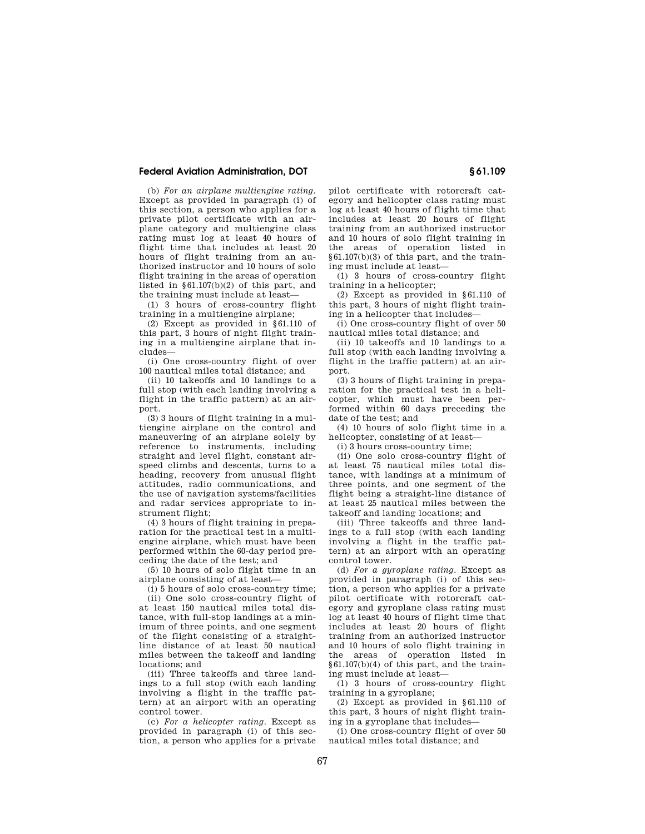## **Federal Aviation Administration, DOT § 61.109**

(b) *For an airplane multiengine rating*. Except as provided in paragraph (i) of this section, a person who applies for a private pilot certificate with an airplane category and multiengine class rating must log at least 40 hours of flight time that includes at least 20 hours of flight training from an authorized instructor and 10 hours of solo flight training in the areas of operation listed in  $§61.107(b)(2)$  of this part, and the training must include at least—

(1) 3 hours of cross-country flight training in a multiengine airplane;

(2) Except as provided in § 61.110 of this part, 3 hours of night flight training in a multiengine airplane that includes—

(i) One cross-country flight of over 100 nautical miles total distance; and

(ii) 10 takeoffs and 10 landings to a full stop (with each landing involving a flight in the traffic pattern) at an airport.

(3) 3 hours of flight training in a multiengine airplane on the control and maneuvering of an airplane solely by reference to instruments, including straight and level flight, constant airspeed climbs and descents, turns to a heading, recovery from unusual flight attitudes, radio communications, and the use of navigation systems/facilities and radar services appropriate to instrument flight;

(4) 3 hours of flight training in preparation for the practical test in a multiengine airplane, which must have been performed within the 60-day period preceding the date of the test; and

(5) 10 hours of solo flight time in an airplane consisting of at least—

(i) 5 hours of solo cross-country time;

(ii) One solo cross-country flight of at least 150 nautical miles total distance, with full-stop landings at a minimum of three points, and one segment of the flight consisting of a straightline distance of at least 50 nautical miles between the takeoff and landing locations; and

(iii) Three takeoffs and three landings to a full stop (with each landing involving a flight in the traffic pattern) at an airport with an operating control tower.

(c) *For a helicopter rating.* Except as provided in paragraph (i) of this section, a person who applies for a private pilot certificate with rotorcraft category and helicopter class rating must log at least 40 hours of flight time that includes at least 20 hours of flight training from an authorized instructor and 10 hours of solo flight training in the areas of operation listed in § 61.107(b)(3) of this part, and the training must include at least—

(1) 3 hours of cross-country flight training in a helicopter;

(2) Except as provided in § 61.110 of this part, 3 hours of night flight training in a helicopter that includes—

(i) One cross-country flight of over 50 nautical miles total distance; and

(ii) 10 takeoffs and 10 landings to a full stop (with each landing involving a flight in the traffic pattern) at an airport.

(3) 3 hours of flight training in preparation for the practical test in a helicopter, which must have been performed within 60 days preceding the date of the test; and

(4) 10 hours of solo flight time in a helicopter, consisting of at least—

(i) 3 hours cross-country time;

(ii) One solo cross-country flight of at least 75 nautical miles total distance, with landings at a minimum of three points, and one segment of the flight being a straight-line distance of at least 25 nautical miles between the takeoff and landing locations; and

(iii) Three takeoffs and three landings to a full stop (with each landing involving a flight in the traffic pattern) at an airport with an operating control tower.

(d) *For a gyroplane rating.* Except as provided in paragraph (i) of this section, a person who applies for a private pilot certificate with rotorcraft category and gyroplane class rating must log at least 40 hours of flight time that includes at least 20 hours of flight training from an authorized instructor and 10 hours of solo flight training in the areas of operation listed in § 61.107(b)(4) of this part, and the training must include at least—

(1) 3 hours of cross-country flight training in a gyroplane;

(2) Except as provided in § 61.110 of this part, 3 hours of night flight training in a gyroplane that includes—

(i) One cross-country flight of over 50 nautical miles total distance; and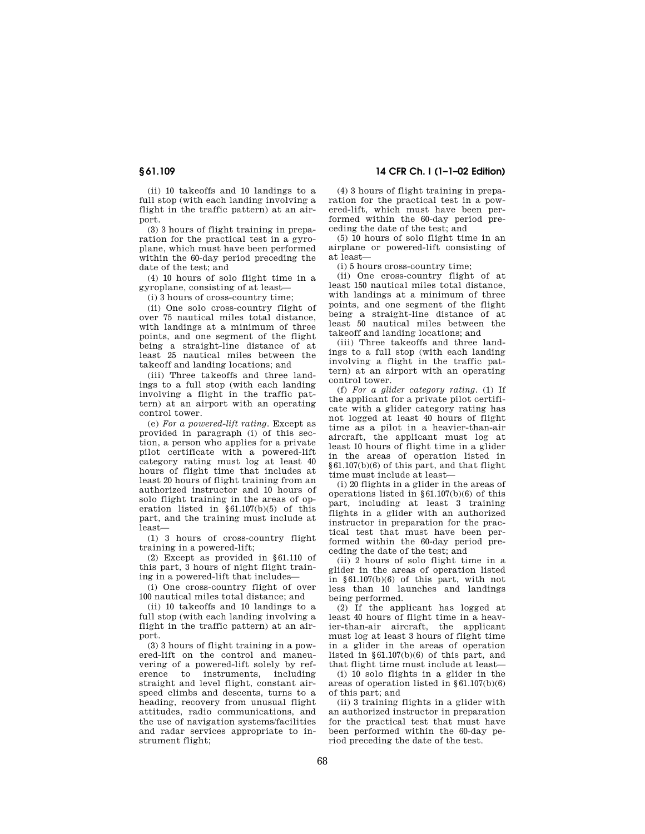(ii) 10 takeoffs and 10 landings to a full stop (with each landing involving a flight in the traffic pattern) at an airport.

(3) 3 hours of flight training in preparation for the practical test in a gyroplane, which must have been performed within the 60-day period preceding the date of the test; and

(4) 10 hours of solo flight time in a gyroplane, consisting of at least—

(i) 3 hours of cross-country time;

(ii) One solo cross-country flight of over 75 nautical miles total distance, with landings at a minimum of three points, and one segment of the flight being a straight-line distance of at least 25 nautical miles between the takeoff and landing locations; and

(iii) Three takeoffs and three landings to a full stop (with each landing involving a flight in the traffic pattern) at an airport with an operating control tower.

(e) *For a powered-lift rating.* Except as provided in paragraph (i) of this section, a person who applies for a private pilot certificate with a powered-lift category rating must log at least 40 hours of flight time that includes at least 20 hours of flight training from an authorized instructor and 10 hours of solo flight training in the areas of operation listed in § 61.107(b)(5) of this part, and the training must include at least—

(1) 3 hours of cross-country flight training in a powered-lift;

(2) Except as provided in § 61.110 of this part, 3 hours of night flight training in a powered-lift that includes—

(i) One cross-country flight of over 100 nautical miles total distance; and

(ii) 10 takeoffs and 10 landings to a full stop (with each landing involving a flight in the traffic pattern) at an airport.

(3) 3 hours of flight training in a powered-lift on the control and maneuvering of a powered-lift solely by reference to instruments, including straight and level flight, constant airspeed climbs and descents, turns to a heading, recovery from unusual flight attitudes, radio communications, and the use of navigation systems/facilities and radar services appropriate to instrument flight;

## **§ 61.109 14 CFR Ch. I (1–1–02 Edition)**

(4) 3 hours of flight training in preparation for the practical test in a powered-lift, which must have been performed within the 60-day period preceding the date of the test; and

(5) 10 hours of solo flight time in an airplane or powered-lift consisting of at least—

(i) 5 hours cross-country time;

(ii) One cross-country flight of at least 150 nautical miles total distance, with landings at a minimum of three points, and one segment of the flight being a straight-line distance of at least 50 nautical miles between the takeoff and landing locations; and

(iii) Three takeoffs and three landings to a full stop (with each landing involving a flight in the traffic pattern) at an airport with an operating control tower.

(f) *For a glider category rating.* (1) If the applicant for a private pilot certificate with a glider category rating has not logged at least 40 hours of flight time as a pilot in a heavier-than-air aircraft, the applicant must log at least 10 hours of flight time in a glider in the areas of operation listed in § 61.107(b)(6) of this part, and that flight time must include at least—

(i) 20 flights in a glider in the areas of operations listed in § 61.107(b)(6) of this part, including at least 3 training flights in a glider with an authorized instructor in preparation for the practical test that must have been performed within the 60-day period preceding the date of the test; and

(ii) 2 hours of solo flight time in a glider in the areas of operation listed in § 61.107(b)(6) of this part, with not less than 10 launches and landings being performed.

(2) If the applicant has logged at least 40 hours of flight time in a heavier-than-air aircraft, the applicant must log at least 3 hours of flight time in a glider in the areas of operation listed in § 61.107(b)(6) of this part, and that flight time must include at least—

(i) 10 solo flights in a glider in the areas of operation listed in § 61.107(b)(6) of this part; and

(ii) 3 training flights in a glider with an authorized instructor in preparation for the practical test that must have been performed within the 60-day period preceding the date of the test.